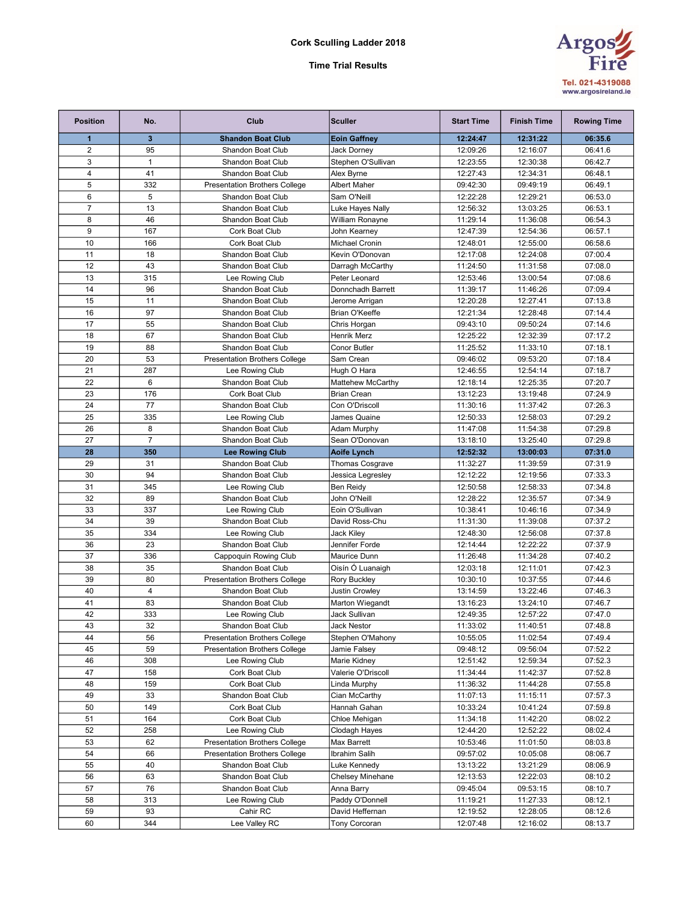Cork Sculling Ladder 2018

## Time Trial Results



| <b>Position</b> | No.                  | Club                                                      | <b>Sculler</b>                      | <b>Start Time</b>    | <b>Finish Time</b>   | <b>Rowing Time</b> |
|-----------------|----------------------|-----------------------------------------------------------|-------------------------------------|----------------------|----------------------|--------------------|
| 1               | 3                    | <b>Shandon Boat Club</b>                                  | <b>Eoin Gaffney</b>                 | 12:24:47             | 12:31:22             | 06:35.6            |
| $\overline{2}$  | 95                   | <b>Shandon Boat Club</b>                                  | Jack Dorney                         | 12:09:26             | 12:16:07             | 06:41.6            |
| 3               | $\mathbf{1}$         | Shandon Boat Club                                         | Stephen O'Sullivan                  | 12:23:55             | 12:30:38             | 06:42.7            |
| $\overline{4}$  | 41                   | Shandon Boat Club                                         | Alex Byrne                          | 12:27:43             | 12:34:31             | 06:48.1            |
| 5               | 332                  | <b>Presentation Brothers College</b>                      | Albert Maher                        | 09:42:30             | 09:49:19             | 06:49.1            |
| 6               | 5                    | <b>Shandon Boat Club</b>                                  | Sam O'Neill                         | 12:22:28             | 12:29:21             | 06:53.0            |
| $\overline{7}$  | 13                   | Shandon Boat Club                                         | Luke Hayes Nally                    | 12:56:32             | 13:03:25             | 06:53.1            |
| 8               | 46                   | Shandon Boat Club                                         | William Ronayne                     | 11:29:14             | 11:36:08             | 06:54.3            |
| 9               | 167                  | Cork Boat Club                                            | John Kearney                        | 12:47:39             | 12:54:36             | 06:57.1            |
| 10              | 166                  | Cork Boat Club                                            | <b>Michael Cronin</b>               | 12:48:01             | 12:55:00             | 06:58.6            |
| 11              | 18                   | Shandon Boat Club                                         | Kevin O'Donovan                     | 12:17:08             | 12:24:08             | 07:00.4            |
| 12              | 43                   | Shandon Boat Club                                         | Darragh McCarthy                    | 11:24:50             | 11:31:58             | 07:08.0            |
| 13              | 315                  | Lee Rowing Club                                           | Peter Leonard                       | 12:53:46             | 13:00:54             | 07:08.6            |
| 14              | 96                   | Shandon Boat Club                                         | Donnchadh Barrett                   | 11:39:17             | 11:46:26             | 07:09.4            |
| 15              | 11                   | Shandon Boat Club                                         | Jerome Arrigan                      | 12:20:28             | 12:27:41             | 07:13.8            |
| 16              | 97                   | Shandon Boat Club                                         | Brian O'Keeffe                      | 12:21:34             | 12:28:48             | 07:14.4            |
| 17              | 55                   | Shandon Boat Club                                         | Chris Horgan                        | 09:43:10             | 09:50:24             | 07:14.6            |
| 18              | 67                   | Shandon Boat Club                                         | Henrik Merz                         | 12:25:22             | 12:32:39             | 07:17.2            |
| 19              | 88                   | <b>Shandon Boat Club</b>                                  | Conor Butler                        | 11:25:52             | 11:33:10             | 07:18.1            |
| 20              | 53                   | <b>Presentation Brothers College</b>                      | Sam Crean                           | 09:46:02             | 09:53:20             | 07:18.4            |
| 21              | 287                  | Lee Rowing Club                                           | Hugh O Hara                         | 12:46:55             | 12:54:14             | 07:18.7            |
| 22              | 6                    | Shandon Boat Club                                         | Mattehew McCarthy                   | 12:18:14             | 12:25:35             | 07:20.7            |
| 23              | 176                  | Cork Boat Club                                            | <b>Brian Crean</b>                  | 13:12:23             | 13:19:48             | 07:24.9            |
| 24              | 77                   | Shandon Boat Club                                         | Con O'Driscoll                      | 11:30:16             | 11:37:42             | 07:26.3            |
| 25              | 335                  | Lee Rowing Club                                           | James Quaine                        | 12:50:33             | 12:58:03             | 07:29.2            |
| 26              | 8                    | Shandon Boat Club                                         | Adam Murphy                         | 11:47:08             | 11:54:38             | 07:29.8            |
| 27              | $\overline{7}$       | Shandon Boat Club                                         | Sean O'Donovan                      | 13:18:10             | 13:25:40             | 07:29.8            |
| 28              | 350                  | <b>Lee Rowing Club</b>                                    | <b>Aoife Lynch</b>                  | 12:52:32             | 13:00:03             | 07:31.0            |
| 29              | 31                   | Shandon Boat Club                                         | Thomas Cosgrave                     | 11:32:27             | 11:39:59             | 07:31.9            |
| 30              | 94                   | Shandon Boat Club                                         | Jessica Legresley                   | 12:12:22             | 12:19:56             | 07:33.3            |
| 31              | 345                  | Lee Rowing Club                                           | Ben Reidy                           | 12:50:58             | 12:58:33             | 07:34.8            |
| 32              | 89                   | Shandon Boat Club                                         | John O'Neill                        | 12:28:22             | 12:35:57             | 07:34.9            |
| 33              | 337                  | Lee Rowing Club                                           | Eoin O'Sullivan                     | 10:38:41             | 10:46:16             | 07:34.9            |
| 34              | 39                   | Shandon Boat Club                                         | David Ross-Chu                      | 11:31:30             | 11:39:08             | 07:37.2            |
| 35              | 334                  | Lee Rowing Club                                           | Jack Kiley                          | 12:48:30             | 12:56:08             | 07:37.8            |
| 36              | 23                   | Shandon Boat Club                                         | Jennifer Forde                      | 12:14:44             | 12:22:22             | 07:37.9            |
| 37              | 336                  | Cappoquin Rowing Club                                     | Maurice Dunn                        | 11:26:48             | 11:34:28             | 07:40.2            |
| 38              | 35                   | Shandon Boat Club                                         | Oisín Ó Luanaigh                    | 12:03:18             | 12:11:01             | 07:42.3            |
| 39<br>40        | 80<br>$\overline{4}$ | <b>Presentation Brothers College</b>                      | <b>Rory Buckley</b>                 | 10:30:10             | 10:37:55             | 07:44.6            |
|                 |                      | Shandon Boat Club                                         | Justin Crowley                      | 13:14:59             | 13:22:46             | 07:46.3            |
| 41<br>42        | 83<br>333            | Shandon Boat Club                                         | Marton Wiegandt                     | 13:16:23<br>12:49:35 | 13:24:10<br>12:57:22 | 07:46.7<br>07:47.0 |
|                 |                      | Lee Rowing Club                                           | Jack Sullivan<br><b>Jack Nestor</b> |                      |                      |                    |
| 43<br>44        | 32<br>56             | Shandon Boat Club<br><b>Presentation Brothers College</b> | Stephen O'Mahony                    | 11:33:02<br>10:55:05 | 11:40:51<br>11:02:54 | 07:48.8<br>07:49.4 |
| 45              | 59                   | <b>Presentation Brothers College</b>                      | Jamie Falsey                        | 09:48:12             | 09:56:04             | 07:52.2            |
| 46              | 308                  | Lee Rowing Club                                           | Marie Kidney                        | 12:51:42             | 12:59:34             | 07:52.3            |
| 47              | 158                  | Cork Boat Club                                            | Valerie O'Driscoll                  | 11:34:44             | 11:42:37             | 07:52.8            |
| 48              | 159                  | Cork Boat Club                                            | Linda Murphy                        | 11:36:32             | 11:44:28             | 07:55.8            |
| 49              | 33                   | Shandon Boat Club                                         | Cian McCarthy                       | 11:07:13             | 11:15:11             | 07:57.3            |
| 50              | 149                  | Cork Boat Club                                            | Hannah Gahan                        | 10:33:24             | 10:41:24             | 07:59.8            |
| 51              | 164                  | Cork Boat Club                                            | Chloe Mehigan                       | 11:34:18             | 11:42:20             | 08:02.2            |
| 52              | 258                  | Lee Rowing Club                                           | Clodagh Hayes                       | 12:44:20             | 12:52:22             | 08:02.4            |
| 53              | 62                   | <b>Presentation Brothers College</b>                      | Max Barrett                         | 10:53:46             | 11:01:50             | 08:03.8            |
| 54              | 66                   | <b>Presentation Brothers College</b>                      | Ibrahim Salih                       | 09:57:02             | 10:05:08             | 08:06.7            |
| 55              | 40                   | Shandon Boat Club                                         | Luke Kennedy                        | 13:13:22             | 13:21:29             | 08:06.9            |
| 56              | 63                   | Shandon Boat Club                                         | Chelsey Minehane                    | 12:13:53             | 12:22:03             | 08:10.2            |
| 57              | 76                   | Shandon Boat Club                                         | Anna Barry                          | 09:45:04             | 09:53:15             | 08:10.7            |
| 58              | 313                  | Lee Rowing Club                                           | Paddy O'Donnell                     | 11:19:21             | 11:27:33             | 08:12.1            |
| 59              | 93                   | Cahir RC                                                  | David Heffernan                     | 12:19:52             | 12:28:05             | 08:12.6            |
| 60              | 344                  | Lee Valley RC                                             | Tony Corcoran                       | 12:07:48             | 12:16:02             | 08:13.7            |
|                 |                      |                                                           |                                     |                      |                      |                    |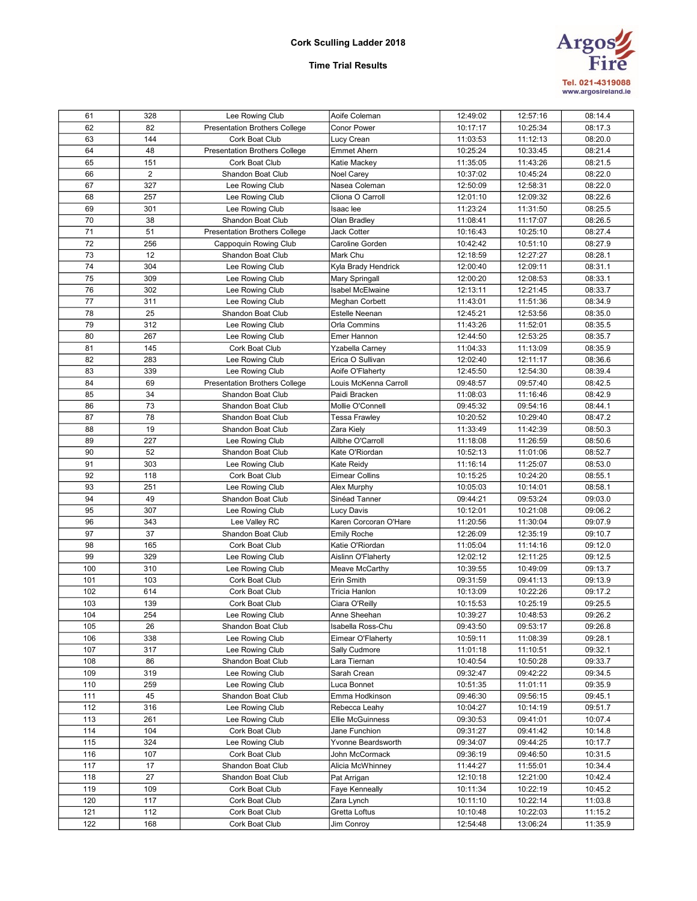## Cork Sculling Ladder 2018

# **Argos** Tel. 021-4319088<br>www.argosireland.ie

## Time Trial Results

| 61  | 328 | Lee Rowing Club                      | Aoife Coleman         | 12:49:02 | 12:57:16 | 08:14.4 |
|-----|-----|--------------------------------------|-----------------------|----------|----------|---------|
| 62  | 82  | <b>Presentation Brothers College</b> | <b>Conor Power</b>    | 10:17:17 | 10:25:34 | 08:17.3 |
| 63  | 144 | Cork Boat Club                       | Lucy Crean            | 11:03:53 | 11:12:13 | 08:20.0 |
| 64  | 48  | <b>Presentation Brothers College</b> | <b>Emmet Ahern</b>    | 10:25:24 | 10:33:45 | 08:21.4 |
| 65  | 151 | Cork Boat Club                       | Katie Mackey          | 11:35:05 | 11:43:26 | 08:21.5 |
| 66  | 2   | Shandon Boat Club                    | Noel Carey            | 10:37:02 | 10:45:24 | 08:22.0 |
| 67  | 327 | Lee Rowing Club                      | Nasea Coleman         | 12:50:09 | 12:58:31 | 08:22.0 |
| 68  | 257 | Lee Rowing Club                      | Cliona O Carroll      | 12:01:10 | 12:09:32 | 08:22.6 |
| 69  | 301 | Lee Rowing Club                      | Isaac lee             | 11:23:24 | 11:31:50 | 08:25.5 |
| 70  | 38  | Shandon Boat Club                    | Olan Bradley          | 11:08:41 | 11:17:07 | 08:26.5 |
| 71  | 51  | <b>Presentation Brothers College</b> | Jack Cotter           | 10:16:43 | 10:25:10 | 08:27.4 |
| 72  | 256 | Cappoquin Rowing Club                | Caroline Gorden       | 10:42:42 | 10:51:10 | 08:27.9 |
| 73  | 12  | <b>Shandon Boat Club</b>             | Mark Chu              | 12:18:59 | 12:27:27 | 08:28.1 |
| 74  | 304 | Lee Rowing Club                      | Kyla Brady Hendrick   | 12:00:40 | 12:09:11 | 08:31.1 |
| 75  | 309 | Lee Rowing Club                      | Mary Springall        | 12:00:20 | 12:08:53 | 08:33.1 |
| 76  | 302 | Lee Rowing Club                      | Isabel McElwaine      | 12:13:11 | 12:21:45 | 08:33.7 |
| 77  | 311 | Lee Rowing Club                      | Meghan Corbett        | 11:43:01 | 11:51:36 | 08:34.9 |
| 78  | 25  | Shandon Boat Club                    | <b>Estelle Neenan</b> | 12:45:21 | 12:53:56 | 08:35.0 |
| 79  | 312 | Lee Rowing Club                      | Orla Commins          | 11:43:26 | 11:52:01 | 08:35.5 |
| 80  | 267 | Lee Rowing Club                      | Emer Hannon           | 12:44:50 | 12:53:25 | 08:35.7 |
| 81  | 145 | Cork Boat Club                       | Yzabella Carney       | 11:04:33 | 11:13:09 | 08:35.9 |
| 82  | 283 | Lee Rowing Club                      | Erica O Sullivan      | 12:02:40 | 12:11:17 | 08:36.6 |
| 83  | 339 | Lee Rowing Club                      | Aoife O'Flaherty      | 12:45:50 | 12:54:30 | 08:39.4 |
| 84  | 69  | <b>Presentation Brothers College</b> | Louis McKenna Carroll | 09:48:57 | 09:57:40 | 08:42.5 |
| 85  | 34  | Shandon Boat Club                    | Paidi Bracken         | 11:08:03 | 11:16:46 | 08:42.9 |
| 86  | 73  | <b>Shandon Boat Club</b>             | Mollie O'Connell      | 09:45:32 | 09:54:16 | 08:44.1 |
| 87  | 78  | <b>Shandon Boat Club</b>             | Tessa Frawley         | 10:20:52 | 10:29:40 | 08:47.2 |
| 88  | 19  | Shandon Boat Club                    | Zara Kiely            | 11:33:49 | 11:42:39 | 08:50.3 |
| 89  | 227 | Lee Rowing Club                      | Ailbhe O'Carroll      | 11:18:08 | 11:26:59 | 08:50.6 |
| 90  | 52  | Shandon Boat Club                    | Kate O'Riordan        | 10:52:13 | 11:01:06 | 08:52.7 |
| 91  | 303 | Lee Rowing Club                      | Kate Reidy            | 11:16:14 | 11:25:07 | 08:53.0 |
| 92  | 118 | Cork Boat Club                       | <b>Eimear Collins</b> | 10:15:25 | 10:24:20 | 08:55.1 |
| 93  | 251 | Lee Rowing Club                      | Alex Murphy           | 10:05:03 | 10:14:01 | 08:58.1 |
| 94  | 49  | Shandon Boat Club                    | Sinéad Tanner         | 09:44:21 | 09:53:24 | 09:03.0 |
| 95  | 307 | Lee Rowing Club                      | Lucy Davis            | 10:12:01 | 10:21:08 | 09:06.2 |
| 96  | 343 | Lee Valley RC                        | Karen Corcoran O'Hare | 11:20:56 | 11:30:04 | 09:07.9 |
| 97  | 37  | Shandon Boat Club                    | <b>Emily Roche</b>    | 12:26:09 | 12:35:19 | 09:10.7 |
| 98  | 165 | Cork Boat Club                       | Katie O'Riordan       | 11:05:04 | 11:14:16 | 09:12.0 |
| 99  | 329 | Lee Rowing Club                      | Aislinn O'Flaherty    | 12:02:12 | 12:11:25 | 09:12.5 |
| 100 | 310 | Lee Rowing Club                      | Meave McCarthy        | 10:39:55 | 10:49:09 | 09:13.7 |
| 101 | 103 | Cork Boat Club                       | Erin Smith            | 09:31:59 | 09:41:13 | 09:13.9 |
| 102 | 614 | Cork Boat Club                       | Tricia Hanlon         | 10:13:09 | 10:22:26 | 09:17.2 |
| 103 | 139 | Cork Boat Club                       | Ciara O'Reilly        | 10:15:53 | 10:25:19 | 09:25.5 |
| 104 | 254 | Lee Rowing Club                      | Anne Sheehan          | 10:39:27 | 10:48:53 | 09:26.2 |
| 105 | 26  | Shandon Boat Club                    | Isabella Ross-Chu     | 09:43:50 | 09:53:17 | 09:26.8 |
| 106 | 338 | Lee Rowing Club                      | Eimear O'Flaherty     | 10:59:11 | 11:08:39 | 09:28.1 |
| 107 | 317 | Lee Rowing Club                      | Sally Cudmore         | 11:01:18 | 11:10:51 | 09:32.1 |
| 108 | 86  | Shandon Boat Club                    | Lara Tiernan          | 10:40:54 | 10:50:28 | 09:33.7 |
| 109 | 319 | Lee Rowing Club                      | Sarah Crean           | 09:32:47 | 09:42:22 | 09:34.5 |
| 110 | 259 | Lee Rowing Club                      | Luca Bonnet           | 10:51:35 | 11:01:11 | 09:35.9 |
| 111 | 45  | Shandon Boat Club                    | Emma Hodkinson        | 09:46:30 | 09:56:15 | 09:45.1 |
| 112 | 316 | Lee Rowing Club                      | Rebecca Leahy         | 10:04:27 | 10:14:19 | 09:51.7 |
| 113 | 261 | Lee Rowing Club                      | Ellie McGuinness      | 09:30:53 | 09:41:01 | 10:07.4 |
| 114 | 104 | Cork Boat Club                       | Jane Funchion         | 09:31:27 | 09:41:42 | 10:14.8 |
| 115 | 324 | Lee Rowing Club                      | Yvonne Beardsworth    | 09:34:07 | 09:44:25 | 10:17.7 |
| 116 | 107 | Cork Boat Club                       | John McCormack        | 09:36:19 | 09:46:50 | 10:31.5 |
| 117 | 17  | Shandon Boat Club                    | Alicia McWhinney      | 11:44:27 | 11:55:01 | 10:34.4 |
| 118 | 27  | Shandon Boat Club                    | Pat Arrigan           | 12:10:18 | 12:21:00 | 10:42.4 |
| 119 | 109 | Cork Boat Club                       | Faye Kenneally        | 10:11:34 | 10:22:19 | 10:45.2 |
| 120 | 117 | Cork Boat Club                       | Zara Lynch            | 10:11:10 | 10:22:14 | 11:03.8 |
| 121 | 112 | Cork Boat Club                       | Gretta Loftus         | 10:10:48 | 10:22:03 | 11:15.2 |
| 122 | 168 | Cork Boat Club                       | Jim Conroy            | 12:54:48 | 13:06:24 | 11:35.9 |
|     |     |                                      |                       |          |          |         |